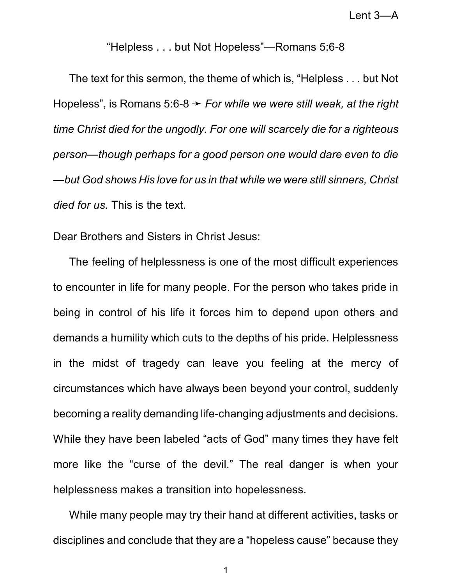Lent 3—A

## "Helpless . . . but Not Hopeless"—Romans 5:6-8

The text for this sermon, the theme of which is, "Helpless . . . but Not Hopeless", is Romans 5:6-8  $\rightarrow$  *For while we were still weak, at the right time Christ died for the ungodly. For one will scarcely die for a righteous person—though perhaps for a good person one would dare even to die —but God shows His love for us in that while we were still sinners, Christ died for us.* This is the text.

Dear Brothers and Sisters in Christ Jesus:

The feeling of helplessness is one of the most difficult experiences to encounter in life for many people. For the person who takes pride in being in control of his life it forces him to depend upon others and demands a humility which cuts to the depths of his pride. Helplessness in the midst of tragedy can leave you feeling at the mercy of circumstances which have always been beyond your control, suddenly becoming a reality demanding life-changing adjustments and decisions. While they have been labeled "acts of God" many times they have felt more like the "curse of the devil." The real danger is when your helplessness makes a transition into hopelessness.

While many people may try their hand at different activities, tasks or disciplines and conclude that they are a "hopeless cause" because they

1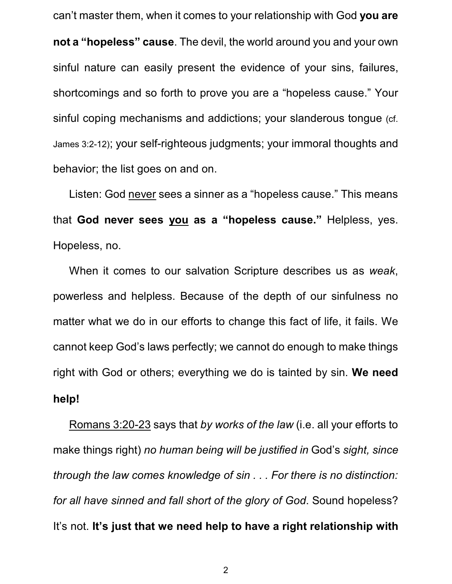can't master them, when it comes to your relationship with God **you are not a "hopeless" cause**. The devil, the world around you and your own sinful nature can easily present the evidence of your sins, failures, shortcomings and so forth to prove you are a "hopeless cause." Your sinful coping mechanisms and addictions; your slanderous tongue (cf. James 3:2-12); your self-righteous judgments; your immoral thoughts and behavior; the list goes on and on.

Listen: God never sees a sinner as a "hopeless cause." This means that **God never sees you as a "hopeless cause."** Helpless, yes. Hopeless, no.

When it comes to our salvation Scripture describes us as *weak*, powerless and helpless. Because of the depth of our sinfulness no matter what we do in our efforts to change this fact of life, it fails. We cannot keep God's laws perfectly; we cannot do enough to make things right with God or others; everything we do is tainted by sin. **We need help!**

Romans 3:20-23 says that *by works of the law* (i.e. all your efforts to make things right) *no human being will be justified in* God's *sight, since through the law comes knowledge of sin . . . For there is no distinction: for all have sinned and fall short of the glory of God*. Sound hopeless? It's not. **It's just that we need help to have a right relationship with**

2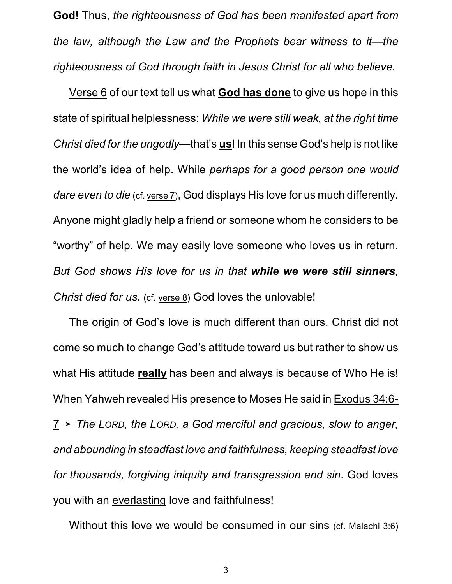**God!** Thus, *the righteousness of God has been manifested apart from the law, although the Law and the Prophets bear witness to it—the righteousness of God through faith in Jesus Christ for all who believe.*

Verse 6 of our text tell us what **God has done** to give us hope in this state of spiritual helplessness: *While we were still weak, at the right time Christ died for the ungodly*—that's **us**! In this sense God's help is not like the world's idea of help. While *perhaps for a good person one would dare even to die* (cf. verse 7), God displays His love for us much differently. Anyone might gladly help a friend or someone whom he considers to be "worthy" of help. We may easily love someone who loves us in return. *But God shows His love for us in that while we were still sinners, Christ died for us.* (cf. verse 8) God loves the unlovable!

The origin of God's love is much different than ours. Christ did not come so much to change God's attitude toward us but rather to show us what His attitude **really** has been and always is because of Who He is! When Yahweh revealed His presence to Moses He said in Exodus 34:6- 7 ý *The LORD, the LORD, a God merciful and gracious, slow to anger, and abounding in steadfast love and faithfulness, keeping steadfast love for thousands, forgiving iniquity and transgression and sin*. God loves you with an everlasting love and faithfulness!

Without this love we would be consumed in our sins (cf. Malachi 3:6)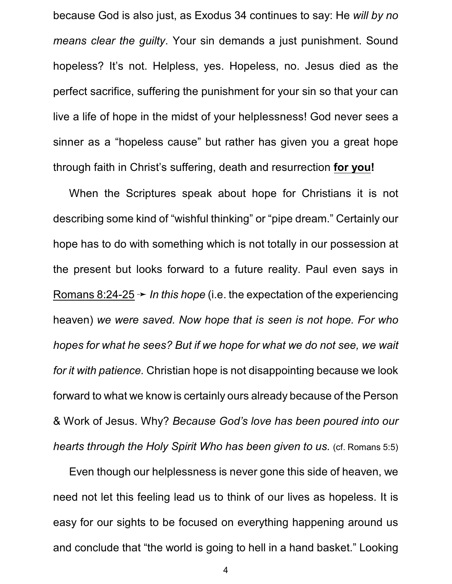because God is also just, as Exodus 34 continues to say: He *will by no means clear the guilty*. Your sin demands a just punishment. Sound hopeless? It's not. Helpless, yes. Hopeless, no. Jesus died as the perfect sacrifice, suffering the punishment for your sin so that your can live a life of hope in the midst of your helplessness! God never sees a sinner as a "hopeless cause" but rather has given you a great hope through faith in Christ's suffering, death and resurrection **for you!**

When the Scriptures speak about hope for Christians it is not describing some kind of "wishful thinking" or "pipe dream." Certainly our hope has to do with something which is not totally in our possession at the present but looks forward to a future reality. Paul even says in Romans 8:24-25  $\rightarrow$  *In this hope* (i.e. the expectation of the experiencing heaven) *we were saved. Now hope that is seen is not hope. For who hopes for what he sees? But if we hope for what we do not see, we wait for it with patience.* Christian hope is not disappointing because we look forward to what we know is certainly ours already because of the Person & Work of Jesus. Why? *Because God's love has been poured into our hearts through the Holy Spirit Who has been given to us.* (cf. Romans 5:5)

Even though our helplessness is never gone this side of heaven, we need not let this feeling lead us to think of our lives as hopeless. It is easy for our sights to be focused on everything happening around us and conclude that "the world is going to hell in a hand basket." Looking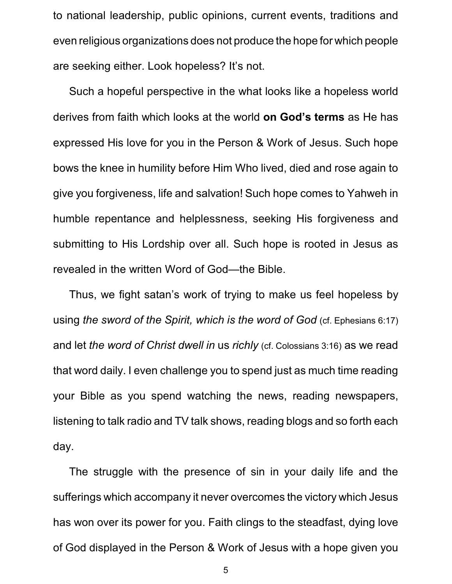to national leadership, public opinions, current events, traditions and even religious organizations does not produce the hope for which people are seeking either. Look hopeless? It's not.

Such a hopeful perspective in the what looks like a hopeless world derives from faith which looks at the world **on God's terms** as He has expressed His love for you in the Person & Work of Jesus. Such hope bows the knee in humility before Him Who lived, died and rose again to give you forgiveness, life and salvation! Such hope comes to Yahweh in humble repentance and helplessness, seeking His forgiveness and submitting to His Lordship over all. Such hope is rooted in Jesus as revealed in the written Word of God—the Bible.

Thus, we fight satan's work of trying to make us feel hopeless by using *the sword of the Spirit, which is the word of God* (cf. Ephesians 6:17) and let *the word of Christ dwell in* us *richly* (cf. Colossians 3:16) as we read that word daily. I even challenge you to spend just as much time reading your Bible as you spend watching the news, reading newspapers, listening to talk radio and TV talk shows, reading blogs and so forth each day.

The struggle with the presence of sin in your daily life and the sufferings which accompany it never overcomes the victory which Jesus has won over its power for you. Faith clings to the steadfast, dying love of God displayed in the Person & Work of Jesus with a hope given you

5